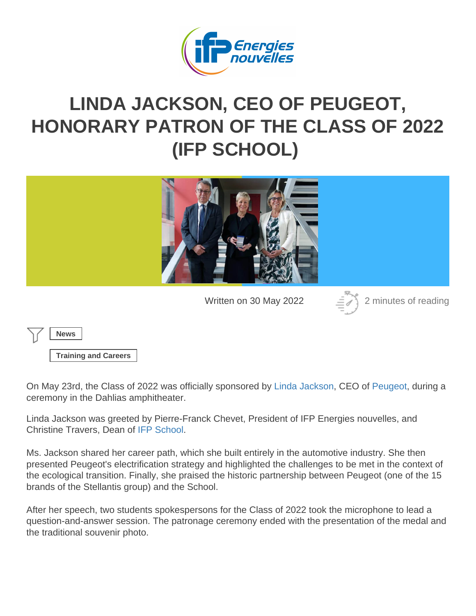## LINDA JACKSON, CEO OF PEUGEOT, [HONORARY PATRON OF THE CLASS OF 2022](https://www.ifpenergiesnouvelles.com/article/linda-jackson-ceo-peugeot-honorary-patron-class-2022-ifp-school) (IFP SCHOOL)

Written on 30 May 2022 2 minutes of reading

News

Training and Careers

On May 23rd, the Class of 2022 was officially sponsored by [Linda Jackson,](https://www.linkedin.com/in/linda--jackson/) CEO of [Peugeot,](https://www.peugeot.fr/) during a ceremony in the Dahlias amphitheater.

Linda Jackson was greeted by Pierre-Franck Chevet, President of IFP Energies nouvelles, and Christine Travers, Dean of [IFP School](https://www.ifp-school.com/en/).

Ms. Jackson shared her career path, which she built entirely in the automotive industry. She then presented Peugeot's electrification strategy and highlighted the challenges to be met in the context of the ecological transition. Finally, she praised the historic partnership between Peugeot (one of the 15 brands of the Stellantis group) and the School.

After her speech, two students spokespersons for the Class of 2022 took the microphone to lead a question-and-answer session. The patronage ceremony ended with the presentation of the medal and the traditional souvenir photo.